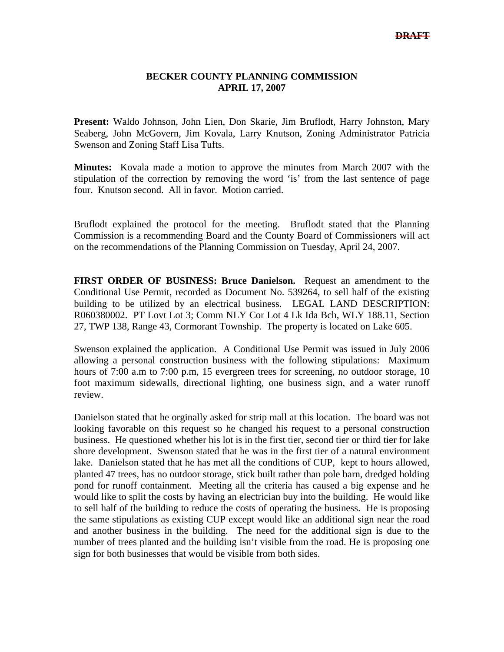## **BECKER COUNTY PLANNING COMMISSION APRIL 17, 2007**

**Present:** Waldo Johnson, John Lien, Don Skarie, Jim Bruflodt, Harry Johnston, Mary Seaberg, John McGovern, Jim Kovala, Larry Knutson, Zoning Administrator Patricia Swenson and Zoning Staff Lisa Tufts.

**Minutes:** Kovala made a motion to approve the minutes from March 2007 with the stipulation of the correction by removing the word 'is' from the last sentence of page four. Knutson second. All in favor. Motion carried.

Bruflodt explained the protocol for the meeting. Bruflodt stated that the Planning Commission is a recommending Board and the County Board of Commissioners will act on the recommendations of the Planning Commission on Tuesday, April 24, 2007.

**FIRST ORDER OF BUSINESS: Bruce Danielson.** Request an amendment to the Conditional Use Permit, recorded as Document No. 539264, to sell half of the existing building to be utilized by an electrical business. LEGAL LAND DESCRIPTION: R060380002. PT Lovt Lot 3; Comm NLY Cor Lot 4 Lk Ida Bch, WLY 188.11, Section 27, TWP 138, Range 43, Cormorant Township. The property is located on Lake 605.

Swenson explained the application. A Conditional Use Permit was issued in July 2006 allowing a personal construction business with the following stipulations: Maximum hours of 7:00 a.m to 7:00 p.m, 15 evergreen trees for screening, no outdoor storage, 10 foot maximum sidewalls, directional lighting, one business sign, and a water runoff review.

Danielson stated that he orginally asked for strip mall at this location. The board was not looking favorable on this request so he changed his request to a personal construction business. He questioned whether his lot is in the first tier, second tier or third tier for lake shore development. Swenson stated that he was in the first tier of a natural environment lake. Danielson stated that he has met all the conditions of CUP, kept to hours allowed, planted 47 trees, has no outdoor storage, stick built rather than pole barn, dredged holding pond for runoff containment. Meeting all the criteria has caused a big expense and he would like to split the costs by having an electrician buy into the building. He would like to sell half of the building to reduce the costs of operating the business. He is proposing the same stipulations as existing CUP except would like an additional sign near the road and another business in the building. The need for the additional sign is due to the number of trees planted and the building isn't visible from the road. He is proposing one sign for both businesses that would be visible from both sides.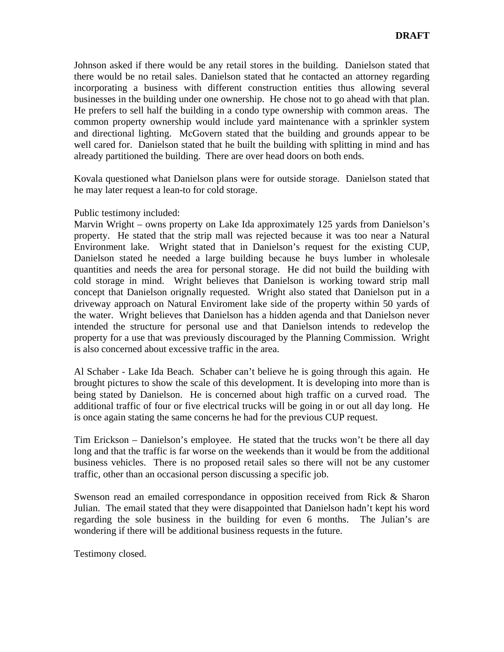Johnson asked if there would be any retail stores in the building. Danielson stated that there would be no retail sales. Danielson stated that he contacted an attorney regarding incorporating a business with different construction entities thus allowing several businesses in the building under one ownership. He chose not to go ahead with that plan. He prefers to sell half the building in a condo type ownership with common areas. The common property ownership would include yard maintenance with a sprinkler system and directional lighting. McGovern stated that the building and grounds appear to be well cared for. Danielson stated that he built the building with splitting in mind and has already partitioned the building. There are over head doors on both ends.

Kovala questioned what Danielson plans were for outside storage. Danielson stated that he may later request a lean-to for cold storage.

## Public testimony included:

Marvin Wright – owns property on Lake Ida approximately 125 yards from Danielson's property. He stated that the strip mall was rejected because it was too near a Natural Environment lake. Wright stated that in Danielson's request for the existing CUP, Danielson stated he needed a large building because he buys lumber in wholesale quantities and needs the area for personal storage. He did not build the building with cold storage in mind. Wright believes that Danielson is working toward strip mall concept that Danielson orignally requested. Wright also stated that Danielson put in a driveway approach on Natural Enviroment lake side of the property within 50 yards of the water. Wright believes that Danielson has a hidden agenda and that Danielson never intended the structure for personal use and that Danielson intends to redevelop the property for a use that was previously discouraged by the Planning Commission. Wright is also concerned about excessive traffic in the area.

Al Schaber - Lake Ida Beach. Schaber can't believe he is going through this again. He brought pictures to show the scale of this development. It is developing into more than is being stated by Danielson. He is concerned about high traffic on a curved road. The additional traffic of four or five electrical trucks will be going in or out all day long. He is once again stating the same concerns he had for the previous CUP request.

Tim Erickson – Danielson's employee. He stated that the trucks won't be there all day long and that the traffic is far worse on the weekends than it would be from the additional business vehicles. There is no proposed retail sales so there will not be any customer traffic, other than an occasional person discussing a specific job.

Swenson read an emailed correspondance in opposition received from Rick & Sharon Julian. The email stated that they were disappointed that Danielson hadn't kept his word regarding the sole business in the building for even 6 months. The Julian's are wondering if there will be additional business requests in the future.

Testimony closed.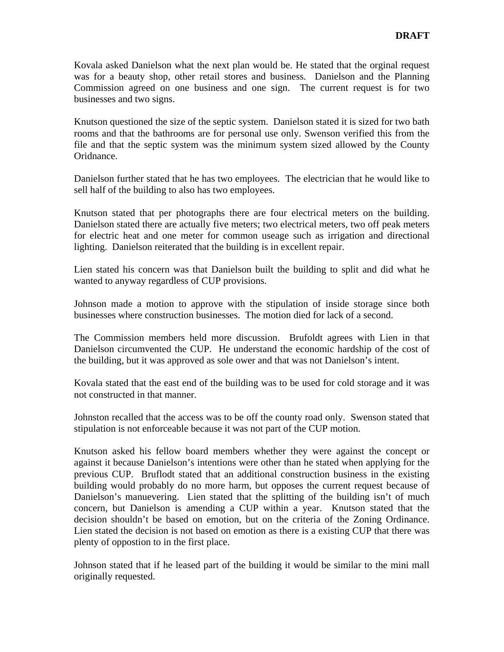Kovala asked Danielson what the next plan would be. He stated that the orginal request was for a beauty shop, other retail stores and business. Danielson and the Planning Commission agreed on one business and one sign. The current request is for two businesses and two signs.

Knutson questioned the size of the septic system. Danielson stated it is sized for two bath rooms and that the bathrooms are for personal use only. Swenson verified this from the file and that the septic system was the minimum system sized allowed by the County Oridnance.

Danielson further stated that he has two employees. The electrician that he would like to sell half of the building to also has two employees.

Knutson stated that per photographs there are four electrical meters on the building. Danielson stated there are actually five meters; two electrical meters, two off peak meters for electric heat and one meter for common useage such as irrigation and directional lighting. Danielson reiterated that the building is in excellent repair.

Lien stated his concern was that Danielson built the building to split and did what he wanted to anyway regardless of CUP provisions.

Johnson made a motion to approve with the stipulation of inside storage since both businesses where construction businesses. The motion died for lack of a second.

The Commission members held more discussion. Brufoldt agrees with Lien in that Danielson circumvented the CUP. He understand the economic hardship of the cost of the building, but it was approved as sole ower and that was not Danielson's intent.

Kovala stated that the east end of the building was to be used for cold storage and it was not constructed in that manner.

Johnston recalled that the access was to be off the county road only. Swenson stated that stipulation is not enforceable because it was not part of the CUP motion.

Knutson asked his fellow board members whether they were against the concept or against it because Danielson's intentions were other than he stated when applying for the previous CUP. Bruflodt stated that an additional construction business in the existing building would probably do no more harm, but opposes the current request because of Danielson's manuevering. Lien stated that the splitting of the building isn't of much concern, but Danielson is amending a CUP within a year. Knutson stated that the decision shouldn't be based on emotion, but on the criteria of the Zoning Ordinance. Lien stated the decision is not based on emotion as there is a existing CUP that there was plenty of oppostion to in the first place.

Johnson stated that if he leased part of the building it would be similar to the mini mall originally requested.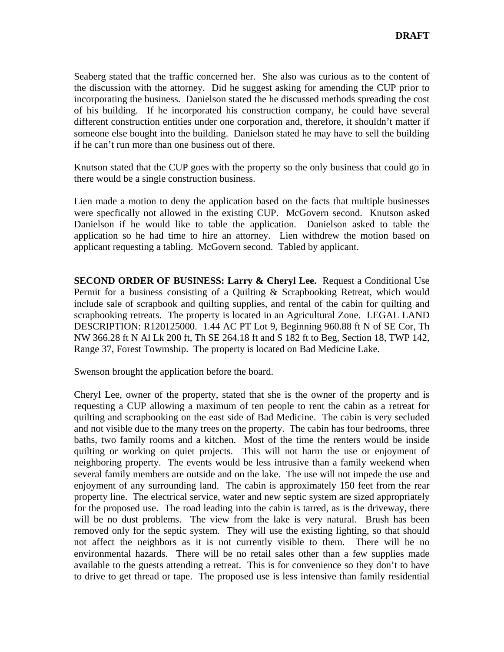Seaberg stated that the traffic concerned her. She also was curious as to the content of the discussion with the attorney. Did he suggest asking for amending the CUP prior to incorporating the business. Danielson stated the he discussed methods spreading the cost of his building. If he incorporated his construction company, he could have several different construction entities under one corporation and, therefore, it shouldn't matter if someone else bought into the building. Danielson stated he may have to sell the building if he can't run more than one business out of there.

Knutson stated that the CUP goes with the property so the only business that could go in there would be a single construction business.

Lien made a motion to deny the application based on the facts that multiple businesses were specfically not allowed in the existing CUP. McGovern second. Knutson asked Danielson if he would like to table the application. Danielson asked to table the application so he had time to hire an attorney. Lien withdrew the motion based on applicant requesting a tabling. McGovern second. Tabled by applicant.

**SECOND ORDER OF BUSINESS: Larry & Cheryl Lee.** Request a Conditional Use Permit for a business consisting of a Quilting & Scrapbooking Retreat, which would include sale of scrapbook and quilting supplies, and rental of the cabin for quilting and scrapbooking retreats. The property is located in an Agricultural Zone. LEGAL LAND DESCRIPTION: R120125000. 1.44 AC PT Lot 9, Beginning 960.88 ft N of SE Cor, Th NW 366.28 ft N Al Lk 200 ft, Th SE 264.18 ft and S 182 ft to Beg, Section 18, TWP 142, Range 37, Forest Towmship. The property is located on Bad Medicine Lake.

Swenson brought the application before the board.

Cheryl Lee, owner of the property, stated that she is the owner of the property and is requesting a CUP allowing a maximum of ten people to rent the cabin as a retreat for quilting and scrapbooking on the east side of Bad Medicine. The cabin is very secluded and not visible due to the many trees on the property. The cabin has four bedrooms, three baths, two family rooms and a kitchen. Most of the time the renters would be inside quilting or working on quiet projects. This will not harm the use or enjoyment of neighboring property. The events would be less intrusive than a family weekend when several family members are outside and on the lake. The use will not impede the use and enjoyment of any surrounding land. The cabin is approximately 150 feet from the rear property line. The electrical service, water and new septic system are sized appropriately for the proposed use. The road leading into the cabin is tarred, as is the driveway, there will be no dust problems. The view from the lake is very natural. Brush has been removed only for the septic system. They will use the existing lighting, so that should not affect the neighbors as it is not currently visible to them. There will be no environmental hazards. There will be no retail sales other than a few supplies made available to the guests attending a retreat. This is for convenience so they don't to have to drive to get thread or tape. The proposed use is less intensive than family residential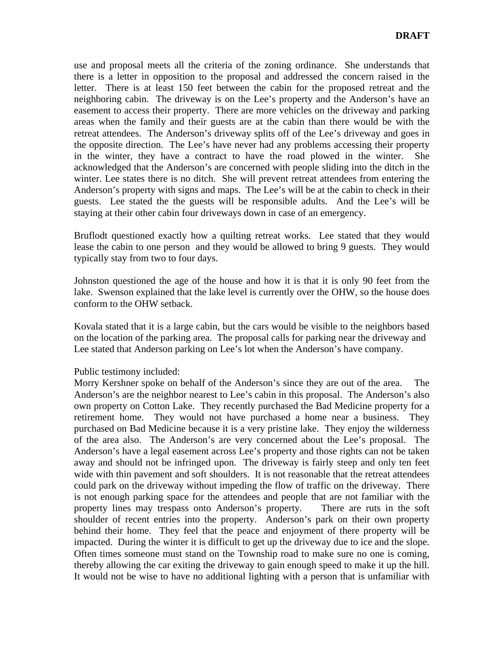use and proposal meets all the criteria of the zoning ordinance. She understands that there is a letter in opposition to the proposal and addressed the concern raised in the letter. There is at least 150 feet between the cabin for the proposed retreat and the neighboring cabin. The driveway is on the Lee's property and the Anderson's have an easement to access their property. There are more vehicles on the driveway and parking areas when the family and their guests are at the cabin than there would be with the retreat attendees. The Anderson's driveway splits off of the Lee's driveway and goes in the opposite direction. The Lee's have never had any problems accessing their property in the winter, they have a contract to have the road plowed in the winter. She acknowledged that the Anderson's are concerned with people sliding into the ditch in the winter. Lee states there is no ditch. She will prevent retreat attendees from entering the Anderson's property with signs and maps. The Lee's will be at the cabin to check in their guests. Lee stated the the guests will be responsible adults. And the Lee's will be staying at their other cabin four driveways down in case of an emergency.

Bruflodt questioned exactly how a quilting retreat works. Lee stated that they would lease the cabin to one person and they would be allowed to bring 9 guests. They would typically stay from two to four days.

Johnston questioned the age of the house and how it is that it is only 90 feet from the lake. Swenson explained that the lake level is currently over the OHW, so the house does conform to the OHW setback.

Kovala stated that it is a large cabin, but the cars would be visible to the neighbors based on the location of the parking area. The proposal calls for parking near the driveway and Lee stated that Anderson parking on Lee's lot when the Anderson's have company.

## Public testimony included:

Morry Kershner spoke on behalf of the Anderson's since they are out of the area. The Anderson's are the neighbor nearest to Lee's cabin in this proposal. The Anderson's also own property on Cotton Lake. They recently purchased the Bad Medicine property for a retirement home. They would not have purchased a home near a business. They purchased on Bad Medicine because it is a very pristine lake. They enjoy the wilderness of the area also. The Anderson's are very concerned about the Lee's proposal. The Anderson's have a legal easement across Lee's property and those rights can not be taken away and should not be infringed upon. The driveway is fairly steep and only ten feet wide with thin pavement and soft shoulders. It is not reasonable that the retreat attendees could park on the driveway without impeding the flow of traffic on the driveway. There is not enough parking space for the attendees and people that are not familiar with the property lines may trespass onto Anderson's property. There are ruts in the soft shoulder of recent entries into the property. Anderson's park on their own property behind their home. They feel that the peace and enjoyment of there property will be impacted. During the winter it is difficult to get up the driveway due to ice and the slope. Often times someone must stand on the Township road to make sure no one is coming, thereby allowing the car exiting the driveway to gain enough speed to make it up the hill. It would not be wise to have no additional lighting with a person that is unfamiliar with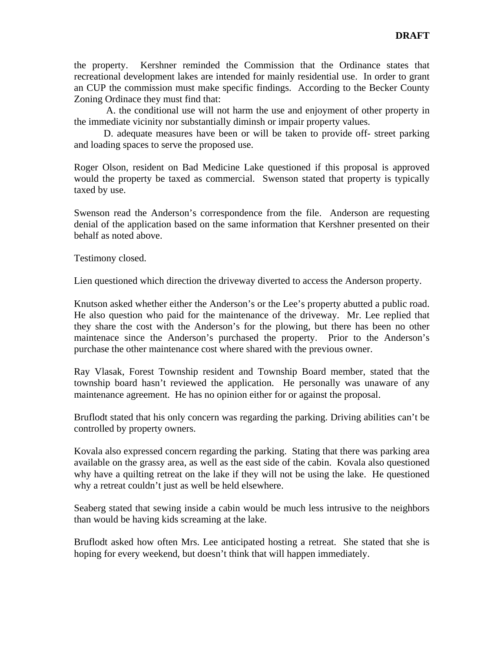the property. Kershner reminded the Commission that the Ordinance states that recreational development lakes are intended for mainly residential use. In order to grant an CUP the commission must make specific findings. According to the Becker County Zoning Ordinace they must find that:

 A. the conditional use will not harm the use and enjoyment of other property in the immediate vicinity nor substantially diminsh or impair property values.

 D. adequate measures have been or will be taken to provide off- street parking and loading spaces to serve the proposed use.

Roger Olson, resident on Bad Medicine Lake questioned if this proposal is approved would the property be taxed as commercial. Swenson stated that property is typically taxed by use.

Swenson read the Anderson's correspondence from the file. Anderson are requesting denial of the application based on the same information that Kershner presented on their behalf as noted above.

Testimony closed.

Lien questioned which direction the driveway diverted to access the Anderson property.

Knutson asked whether either the Anderson's or the Lee's property abutted a public road. He also question who paid for the maintenance of the driveway. Mr. Lee replied that they share the cost with the Anderson's for the plowing, but there has been no other maintenace since the Anderson's purchased the property. Prior to the Anderson's purchase the other maintenance cost where shared with the previous owner.

Ray Vlasak, Forest Township resident and Township Board member, stated that the township board hasn't reviewed the application. He personally was unaware of any maintenance agreement. He has no opinion either for or against the proposal.

Bruflodt stated that his only concern was regarding the parking. Driving abilities can't be controlled by property owners.

Kovala also expressed concern regarding the parking. Stating that there was parking area available on the grassy area, as well as the east side of the cabin. Kovala also questioned why have a quilting retreat on the lake if they will not be using the lake. He questioned why a retreat couldn't just as well be held elsewhere.

Seaberg stated that sewing inside a cabin would be much less intrusive to the neighbors than would be having kids screaming at the lake.

Bruflodt asked how often Mrs. Lee anticipated hosting a retreat. She stated that she is hoping for every weekend, but doesn't think that will happen immediately.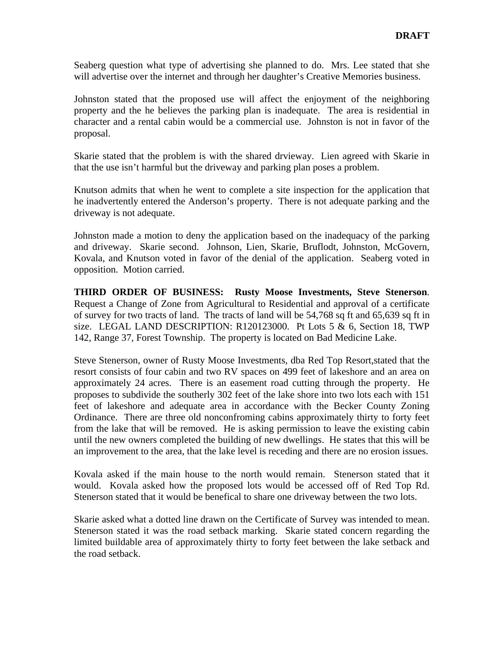Seaberg question what type of advertising she planned to do. Mrs. Lee stated that she will advertise over the internet and through her daughter's Creative Memories business.

Johnston stated that the proposed use will affect the enjoyment of the neighboring property and the he believes the parking plan is inadequate. The area is residential in character and a rental cabin would be a commercial use. Johnston is not in favor of the proposal.

Skarie stated that the problem is with the shared drvieway. Lien agreed with Skarie in that the use isn't harmful but the driveway and parking plan poses a problem.

Knutson admits that when he went to complete a site inspection for the application that he inadvertently entered the Anderson's property. There is not adequate parking and the driveway is not adequate.

Johnston made a motion to deny the application based on the inadequacy of the parking and driveway. Skarie second. Johnson, Lien, Skarie, Bruflodt, Johnston, McGovern, Kovala, and Knutson voted in favor of the denial of the application. Seaberg voted in opposition. Motion carried.

**THIRD ORDER OF BUSINESS: Rusty Moose Investments, Steve Stenerson**. Request a Change of Zone from Agricultural to Residential and approval of a certificate of survey for two tracts of land. The tracts of land will be 54,768 sq ft and 65,639 sq ft in size. LEGAL LAND DESCRIPTION: R120123000. Pt Lots 5  $\&$  6, Section 18, TWP 142, Range 37, Forest Township. The property is located on Bad Medicine Lake.

Steve Stenerson, owner of Rusty Moose Investments, dba Red Top Resort,stated that the resort consists of four cabin and two RV spaces on 499 feet of lakeshore and an area on approximately 24 acres. There is an easement road cutting through the property. He proposes to subdivide the southerly 302 feet of the lake shore into two lots each with 151 feet of lakeshore and adequate area in accordance with the Becker County Zoning Ordinance. There are three old nonconfroming cabins approximately thirty to forty feet from the lake that will be removed. He is asking permission to leave the existing cabin until the new owners completed the building of new dwellings. He states that this will be an improvement to the area, that the lake level is receding and there are no erosion issues.

Kovala asked if the main house to the north would remain. Stenerson stated that it would. Kovala asked how the proposed lots would be accessed off of Red Top Rd. Stenerson stated that it would be benefical to share one driveway between the two lots.

Skarie asked what a dotted line drawn on the Certificate of Survey was intended to mean. Stenerson stated it was the road setback marking. Skarie stated concern regarding the limited buildable area of approximately thirty to forty feet between the lake setback and the road setback.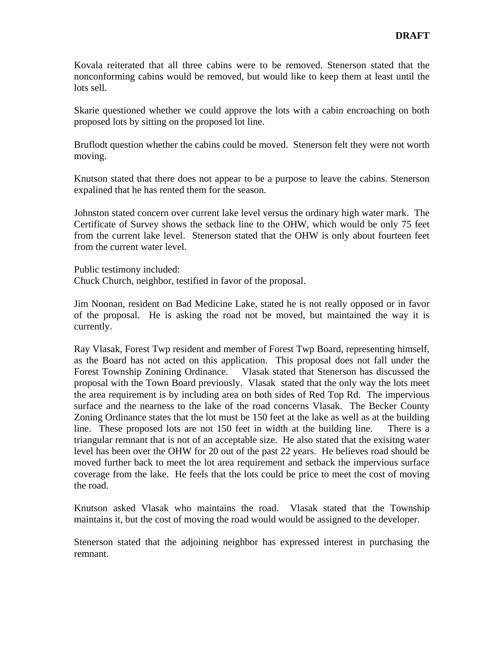Kovala reiterated that all three cabins were to be removed. Stenerson stated that the nonconforming cabins would be removed, but would like to keep them at least until the lots sell.

Skarie questioned whether we could approve the lots with a cabin encroaching on both proposed lots by sitting on the proposed lot line.

Bruflodt question whether the cabins could be moved. Stenerson felt they were not worth moving.

Knutson stated that there does not appear to be a purpose to leave the cabins. Stenerson expalined that he has rented them for the season.

Johnston stated concern over current lake level versus the ordinary high water mark. The Certificate of Survey shows the setback line to the OHW, which would be only 75 feet from the current lake level. Stenerson stated that the OHW is only about fourteen feet from the current water level.

Public testimony included:

Chuck Church, neighbor, testified in favor of the proposal.

Jim Noonan, resident on Bad Medicine Lake, stated he is not really opposed or in favor of the proposal. He is asking the road not be moved, but maintained the way it is currently.

Ray Vlasak, Forest Twp resident and member of Forest Twp Board, representing himself, as the Board has not acted on this application. This proposal does not fall under the Forest Township Zonining Ordinance. Vlasak stated that Stenerson has discussed the proposal with the Town Board previously. Vlasak stated that the only way the lots meet the area requirement is by including area on both sides of Red Top Rd. The impervious surface and the nearness to the lake of the road concerns Vlasak. The Becker County Zoning Ordinance states that the lot must be 150 feet at the lake as well as at the building line. These proposed lots are not 150 feet in width at the building line. There is a triangular remnant that is not of an acceptable size. He also stated that the exisitng water level has been over the OHW for 20 out of the past 22 years. He believes road should be moved further back to meet the lot area requirement and setback the impervious surface coverage from the lake. He feels that the lots could be price to meet the cost of moving the road.

Knutson asked Vlasak who maintains the road. Vlasak stated that the Township maintains it, but the cost of moving the road would would be assigned to the developer.

Stenerson stated that the adjoining neighbor has expressed interest in purchasing the remnant.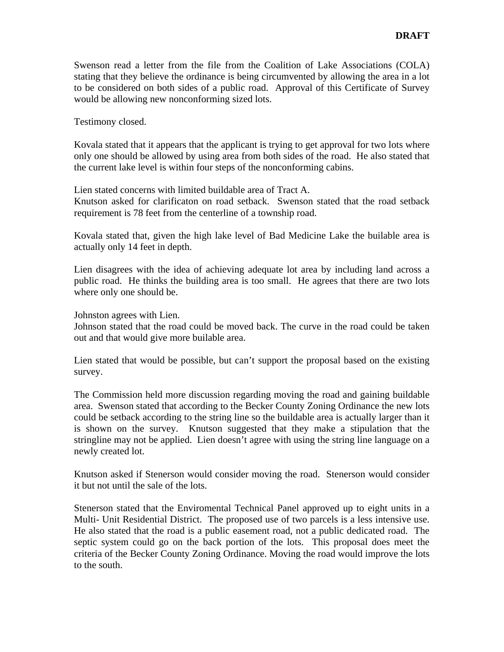Swenson read a letter from the file from the Coalition of Lake Associations (COLA) stating that they believe the ordinance is being circumvented by allowing the area in a lot to be considered on both sides of a public road. Approval of this Certificate of Survey would be allowing new nonconforming sized lots.

Testimony closed.

Kovala stated that it appears that the applicant is trying to get approval for two lots where only one should be allowed by using area from both sides of the road. He also stated that the current lake level is within four steps of the nonconforming cabins.

Lien stated concerns with limited buildable area of Tract A.

Knutson asked for clarificaton on road setback. Swenson stated that the road setback requirement is 78 feet from the centerline of a township road.

Kovala stated that, given the high lake level of Bad Medicine Lake the builable area is actually only 14 feet in depth.

Lien disagrees with the idea of achieving adequate lot area by including land across a public road. He thinks the building area is too small. He agrees that there are two lots where only one should be.

Johnston agrees with Lien.

Johnson stated that the road could be moved back. The curve in the road could be taken out and that would give more builable area.

Lien stated that would be possible, but can't support the proposal based on the existing survey.

The Commission held more discussion regarding moving the road and gaining buildable area. Swenson stated that according to the Becker County Zoning Ordinance the new lots could be setback according to the string line so the buildable area is actually larger than it is shown on the survey. Knutson suggested that they make a stipulation that the stringline may not be applied. Lien doesn't agree with using the string line language on a newly created lot.

Knutson asked if Stenerson would consider moving the road. Stenerson would consider it but not until the sale of the lots.

Stenerson stated that the Enviromental Technical Panel approved up to eight units in a Multi- Unit Residential District. The proposed use of two parcels is a less intensive use. He also stated that the road is a public easement road, not a public dedicated road. The septic system could go on the back portion of the lots. This proposal does meet the criteria of the Becker County Zoning Ordinance. Moving the road would improve the lots to the south.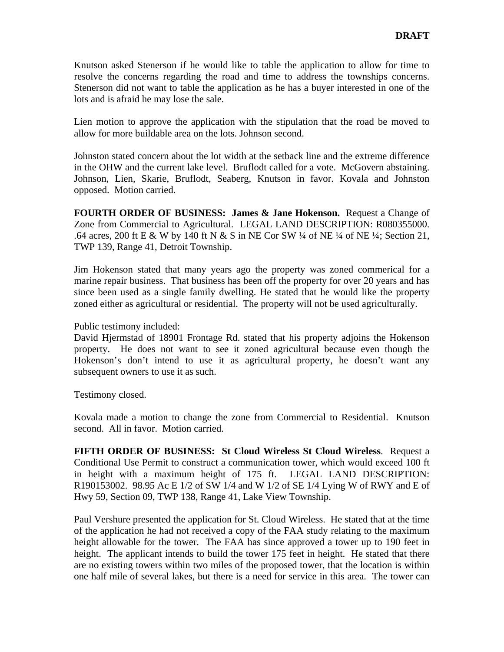Knutson asked Stenerson if he would like to table the application to allow for time to resolve the concerns regarding the road and time to address the townships concerns. Stenerson did not want to table the application as he has a buyer interested in one of the lots and is afraid he may lose the sale.

Lien motion to approve the application with the stipulation that the road be moved to allow for more buildable area on the lots. Johnson second.

Johnston stated concern about the lot width at the setback line and the extreme difference in the OHW and the current lake level. Bruflodt called for a vote. McGovern abstaining. Johnson, Lien, Skarie, Bruflodt, Seaberg, Knutson in favor. Kovala and Johnston opposed. Motion carried.

**FOURTH ORDER OF BUSINESS: James & Jane Hokenson.** Request a Change of Zone from Commercial to Agricultural. LEGAL LAND DESCRIPTION: R080355000. .64 acres, 200 ft E & W by 140 ft N & S in NE Cor SW ¼ of NE ¼ of NE ¼; Section 21, TWP 139, Range 41, Detroit Township.

Jim Hokenson stated that many years ago the property was zoned commerical for a marine repair business. That business has been off the property for over 20 years and has since been used as a single family dwelling. He stated that he would like the property zoned either as agricultural or residential. The property will not be used agriculturally.

Public testimony included:

David Hjermstad of 18901 Frontage Rd. stated that his property adjoins the Hokenson property. He does not want to see it zoned agricultural because even though the Hokenson's don't intend to use it as agricultural property, he doesn't want any subsequent owners to use it as such.

Testimony closed.

Kovala made a motion to change the zone from Commercial to Residential. Knutson second. All in favor. Motion carried.

**FIFTH ORDER OF BUSINESS: St Cloud Wireless St Cloud Wireless**. Request a Conditional Use Permit to construct a communication tower, which would exceed 100 ft in height with a maximum height of 175 ft. LEGAL LAND DESCRIPTION: R190153002. 98.95 Ac E  $1/2$  of SW  $1/4$  and W  $1/2$  of SE  $1/4$  Lying W of RWY and E of Hwy 59, Section 09, TWP 138, Range 41, Lake View Township.

Paul Vershure presented the application for St. Cloud Wireless. He stated that at the time of the application he had not received a copy of the FAA study relating to the maximum height allowable for the tower. The FAA has since approved a tower up to 190 feet in height. The applicant intends to build the tower 175 feet in height. He stated that there are no existing towers within two miles of the proposed tower, that the location is within one half mile of several lakes, but there is a need for service in this area. The tower can